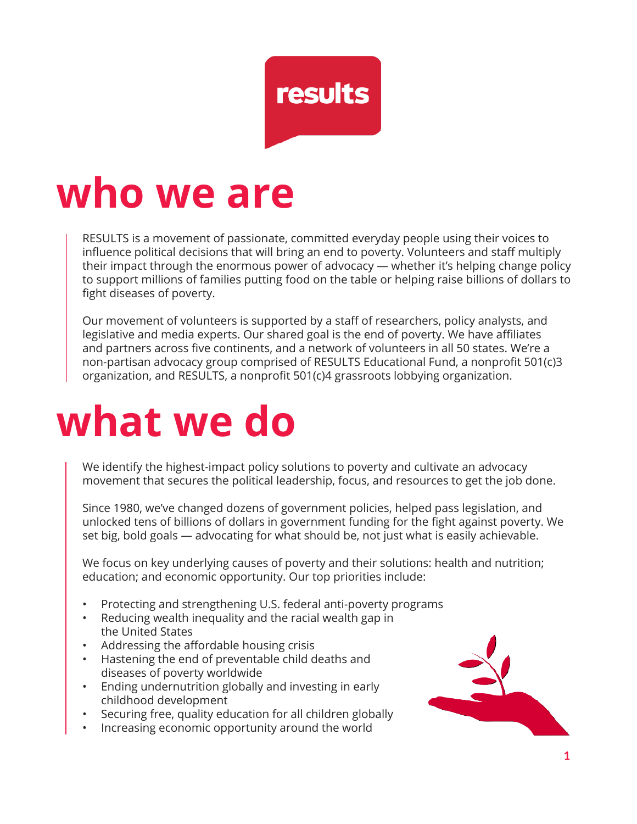

## **who we are**

RESULTS is a movement of passionate, committed everyday people using their voices to influence political decisions that will bring an end to poverty. Volunteers and staff multiply their impact through the enormous power of advocacy — whether it's helping change policy to support millions of families putting food on the table or helping raise billions of dollars to fight diseases of poverty.

Our movement of volunteers is supported by a staff of researchers, policy analysts, and legislative and media experts. Our shared goal is the end of poverty. We have affiliates and partners across five continents, and a network of volunteers in all 50 states. We're a non-partisan advocacy group comprised of RESULTS Educational Fund, a nonprofit 501(c)3 organization, and RESULTS, a nonprofit 501(c)4 grassroots lobbying organization.

# **what we do**

We identify the highest-impact policy solutions to poverty and cultivate an advocacy movement that secures the political leadership, focus, and resources to get the job done.

Since 1980, we've changed dozens of government policies, helped pass legislation, and unlocked tens of billions of dollars in government funding for the fight against poverty. We set big, bold goals — advocating for what should be, not just what is easily achievable.

We focus on key underlying causes of poverty and their solutions: health and nutrition; education; and economic opportunity. Our top priorities include:

- Protecting and strengthening U.S. federal anti-poverty programs
- Reducing wealth inequality and the racial wealth gap in the United States
- Addressing the affordable housing crisis
- Hastening the end of preventable child deaths and diseases of poverty worldwide
- Ending undernutrition globally and investing in early childhood development
- Securing free, quality education for all children globally
- Increasing economic opportunity around the world

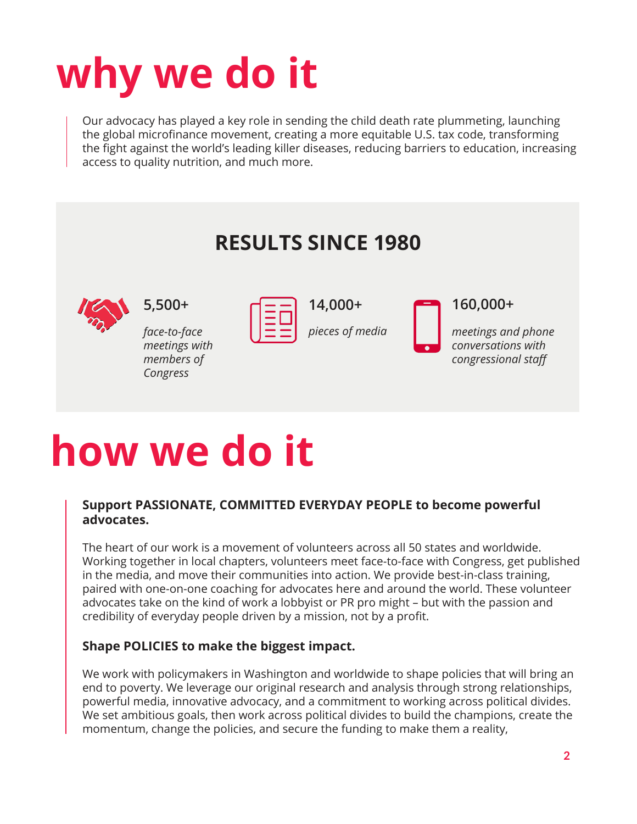# **why we do it**

Our advocacy has played a key role in sending the child death rate plummeting, launching the global microfinance movement, creating a more equitable U.S. tax code, transforming the fight against the world's leading killer diseases, reducing barriers to education, increasing access to quality nutrition, and much more.



# **how we do it**

#### **Support PASSIONATE, COMMITTED EVERYDAY PEOPLE to become powerful advocates.**

The heart of our work is a movement of volunteers across all 50 states and worldwide. Working together in local chapters, volunteers meet face-to-face with Congress, get published in the media, and move their communities into action. We provide best-in-class training, paired with one-on-one coaching for advocates here and around the world. These volunteer advocates take on the kind of work a lobbyist or PR pro might – but with the passion and credibility of everyday people driven by a mission, not by a profit.

#### **Shape POLICIES to make the biggest impact.**

We work with policymakers in Washington and worldwide to shape policies that will bring an end to poverty. We leverage our original research and analysis through strong relationships, powerful media, innovative advocacy, and a commitment to working across political divides. We set ambitious goals, then work across political divides to build the champions, create the momentum, change the policies, and secure the funding to make them a reality,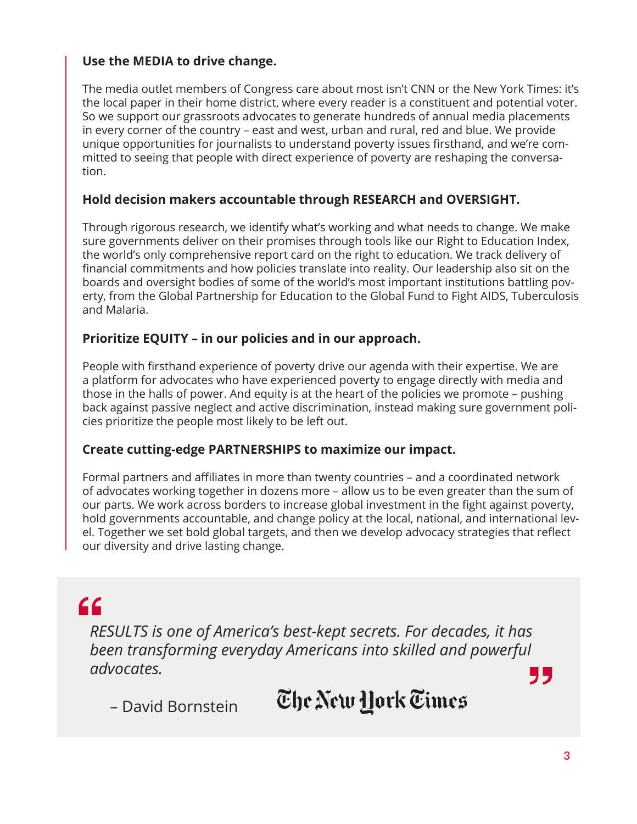#### **Use the MEDIA to drive change.**

The media outlet members of Congress care about most isn't CNN or the New York Times: it's the local paper in their home district, where every reader is a constituent and potential voter. So we support our grassroots advocates to generate hundreds of annual media placements in every corner of the country – east and west, urban and rural, red and blue. We provide unique opportunities for journalists to understand poverty issues firsthand, and we're committed to seeing that people with direct experience of poverty are reshaping the conversation.

#### **Hold decision makers accountable through RESEARCH and OVERSIGHT.**

Through rigorous research, we identify what's working and what needs to change. We make sure governments deliver on their promises through tools like our Right to Education Index, the world's only comprehensive report card on the right to education. We track delivery of financial commitments and how policies translate into reality. Our leadership also sit on the boards and oversight bodies of some of the world's most important institutions battling poverty, from the Global Partnership for Education to the Global Fund to Fight AIDS, Tuberculosis and Malaria.

#### **Prioritize EQUITY – in our policies and in our approach.**

People with firsthand experience of poverty drive our agenda with their expertise. We are a platform for advocates who have experienced poverty to engage directly with media and those in the halls of power. And equity is at the heart of the policies we promote – pushing back against passive neglect and active discrimination, instead making sure government policies prioritize the people most likely to be left out.

#### **Create cutting-edge PARTNERSHIPS to maximize our impact.**

Formal partners and affiliates in more than twenty countries – and a coordinated network of advocates working together in dozens more – allow us to be even greater than the sum of our parts. We work across borders to increase global investment in the fight against poverty, hold governments accountable, and change policy at the local, national, and international level. Together we set bold global targets, and then we develop advocacy strategies that reflect our diversity and drive lasting change.

## $66$

*RESULTS is one of America's best-kept secrets. For decades, it has been transforming everyday Americans into skilled and powerful advocates.* 77

The New York Times

– David Bornstein